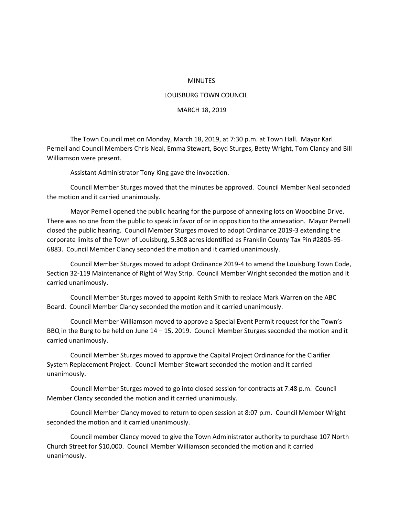## MINUTES

## LOUISBURG TOWN COUNCIL

## MARCH 18, 2019

The Town Council met on Monday, March 18, 2019, at 7:30 p.m. at Town Hall. Mayor Karl Pernell and Council Members Chris Neal, Emma Stewart, Boyd Sturges, Betty Wright, Tom Clancy and Bill Williamson were present.

Assistant Administrator Tony King gave the invocation.

Council Member Sturges moved that the minutes be approved. Council Member Neal seconded the motion and it carried unanimously.

Mayor Pernell opened the public hearing for the purpose of annexing lots on Woodbine Drive. There was no one from the public to speak in favor of or in opposition to the annexation. Mayor Pernell closed the public hearing. Council Member Sturges moved to adopt Ordinance 2019-3 extending the corporate limits of the Town of Louisburg, 5.308 acres identified as Franklin County Tax Pin #2805-95- 6883. Council Member Clancy seconded the motion and it carried unanimously.

Council Member Sturges moved to adopt Ordinance 2019-4 to amend the Louisburg Town Code, Section 32-119 Maintenance of Right of Way Strip. Council Member Wright seconded the motion and it carried unanimously.

Council Member Sturges moved to appoint Keith Smith to replace Mark Warren on the ABC Board. Council Member Clancy seconded the motion and it carried unanimously.

Council Member Williamson moved to approve a Special Event Permit request for the Town's BBQ in the Burg to be held on June 14 – 15, 2019. Council Member Sturges seconded the motion and it carried unanimously.

Council Member Sturges moved to approve the Capital Project Ordinance for the Clarifier System Replacement Project. Council Member Stewart seconded the motion and it carried unanimously.

Council Member Sturges moved to go into closed session for contracts at 7:48 p.m. Council Member Clancy seconded the motion and it carried unanimously.

Council Member Clancy moved to return to open session at 8:07 p.m. Council Member Wright seconded the motion and it carried unanimously.

Council member Clancy moved to give the Town Administrator authority to purchase 107 North Church Street for \$10,000. Council Member Williamson seconded the motion and it carried unanimously.